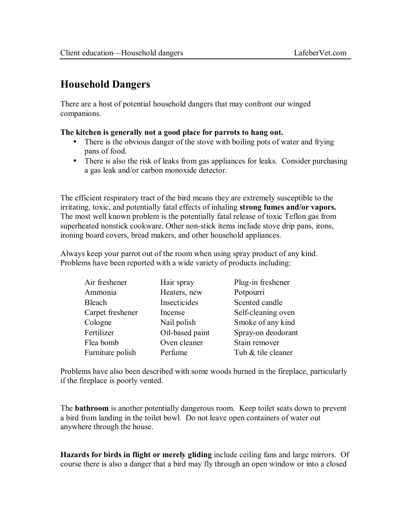## **Household Dangers**

There are a host of potential household dangers that may confront our winged companions.

## **The kitchen is generally not a good place for parrots to hang out.**

- There is the obvious danger of the stove with boiling pots of water and frying pans of food.
- There is also the risk of leaks from gas appliances for leaks. Consider purchasing a gas leak and/or carbon monoxide detector.

The efficient respiratory tract of the bird means they are extremely susceptible to the irritating, toxic, and potentially fatal effects of inhaling **strong fumes and/or vapors.**  The most well known problem is the potentially fatal release of toxic Teflon gas from superheated nonstick cookware. Other non-stick items include stove drip pans, irons, ironing board covers, bread makers, and other household appliances.

Always keep your parrot out of the room when using spray product of any kind. Problems have been reported with a wide variety of products including:

| Air freshener    | Hair spray      | Plug-in freshener  |
|------------------|-----------------|--------------------|
| Ammonia          | Heaters, new    | Potpourri          |
| <b>Bleach</b>    | Insecticides    | Scented candle     |
| Carpet freshener | Incense         | Self-cleaning oven |
| Cologne          | Nail polish     | Smoke of any kind  |
| Fertilizer       | Oil-based paint | Spray-on deodorant |
| Flea bomb        | Oven cleaner    | Stain remover      |
| Furniture polish | Perfume         | Tub & tile cleaner |

Problems have also been described with some woods burned in the fireplace, particularly if the fireplace is poorly vented.

The **bathroom** is another potentially dangerous room. Keep toilet seats down to prevent a bird from landing in the toilet bowl. Do not leave open containers of water out anywhere through the house.

**Hazards for birds in flight or merely gliding** include ceiling fans and large mirrors. Of course there is also a danger that a bird may fly through an open window or into a closed